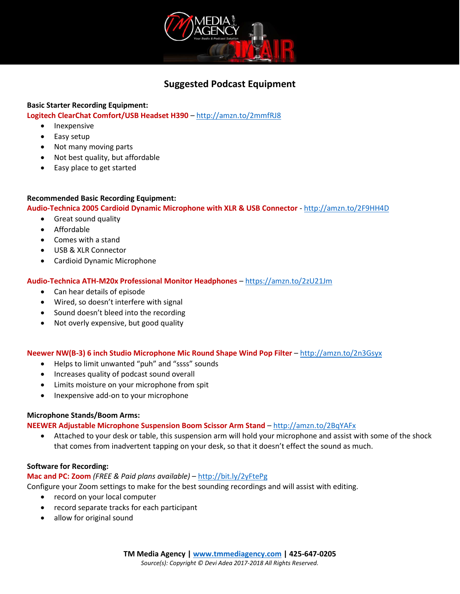

# **Suggested Podcast Equipment**

## **Basic Starter Recording Equipment: Logitech ClearChat Comfort/USB Headset H390** – <http://amzn.to/2mmfRJ8>

- Inexpensive
- Easy setup
- Not many moving parts
- Not best quality, but affordable
- Easy place to get started

## **Recommended Basic Recording Equipment:**

**Audio-Technica 2005 Cardioid Dynamic Microphone with XLR & USB Connector** - <http://amzn.to/2F9HH4D>

- Great sound quality
- Affordable
- Comes with a stand
- USB & XLR Connector
- Cardioid Dynamic Microphone

### **Audio-Technica ATH-M20x Professional Monitor Headphones** – <https://amzn.to/2zU21Jm>

- Can hear details of episode
- Wired, so doesn't interfere with signal
- Sound doesn't bleed into the recording
- Not overly expensive, but good quality

#### **Neewer NW(B-3) 6 inch Studio Microphone Mic Round Shape Wind Pop Filter** – <http://amzn.to/2n3Gsyx>

- Helps to limit unwanted "puh" and "ssss" sounds
- Increases quality of podcast sound overall
- Limits moisture on your microphone from spit
- Inexpensive add-on to your microphone

#### **Microphone Stands/Boom Arms:**

#### **NEEWER Adjustable Microphone Suspension Boom Scissor Arm Stand** – <http://amzn.to/2BqYAFx>

• Attached to your desk or table, this suspension arm will hold your microphone and assist with some of the shock that comes from inadvertent tapping on your desk, so that it doesn't effect the sound as much.

#### **Software for Recording:**

#### **Mac and PC: Zoom** *(FREE & Paid plans available)* – <http://bit.ly/2yFtePg>

Configure your Zoom settings to make for the best sounding recordings and will assist with editing.

- record on your local computer
- record separate tracks for each participant
- allow for original sound